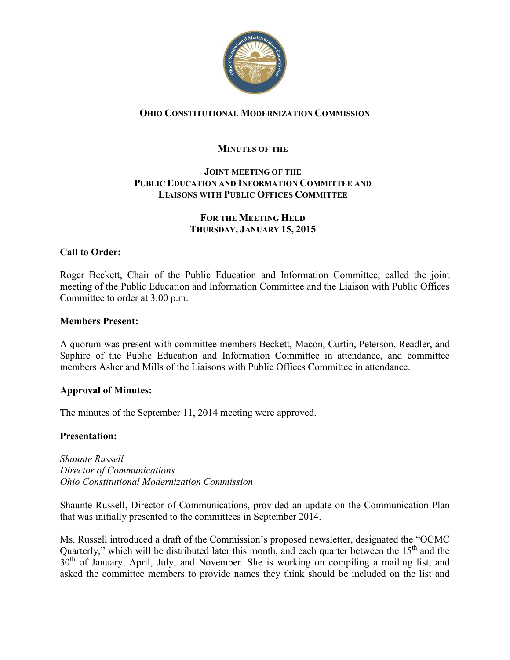

# **OHIO CONSTITUTIONAL MODERNIZATION COMMISSION**

### **MINUTES OF THE**

### **JOINT MEETING OF THE PUBLIC EDUCATION AND INFORMATION COMMITTEE AND LIAISONS WITH PUBLIC OFFICES COMMITTEE**

## **FOR THE MEETING HELD THURSDAY, JANUARY 15, 2015**

## **Call to Order:**

Roger Beckett, Chair of the Public Education and Information Committee, called the joint meeting of the Public Education and Information Committee and the Liaison with Public Offices Committee to order at 3:00 p.m.

### **Members Present:**

A quorum was present with committee members Beckett, Macon, Curtin, Peterson, Readler, and Saphire of the Public Education and Information Committee in attendance, and committee members Asher and Mills of the Liaisons with Public Offices Committee in attendance.

#### **Approval of Minutes:**

The minutes of the September 11, 2014 meeting were approved.

#### **Presentation:**

*Shaunte Russell Director of Communications Ohio Constitutional Modernization Commission* 

Shaunte Russell, Director of Communications, provided an update on the Communication Plan that was initially presented to the committees in September 2014.

Ms. Russell introduced a draft of the Commission's proposed newsletter, designated the "OCMC Quarterly," which will be distributed later this month, and each quarter between the  $15<sup>th</sup>$  and the 30<sup>th</sup> of January, April, July, and November. She is working on compiling a mailing list, and asked the committee members to provide names they think should be included on the list and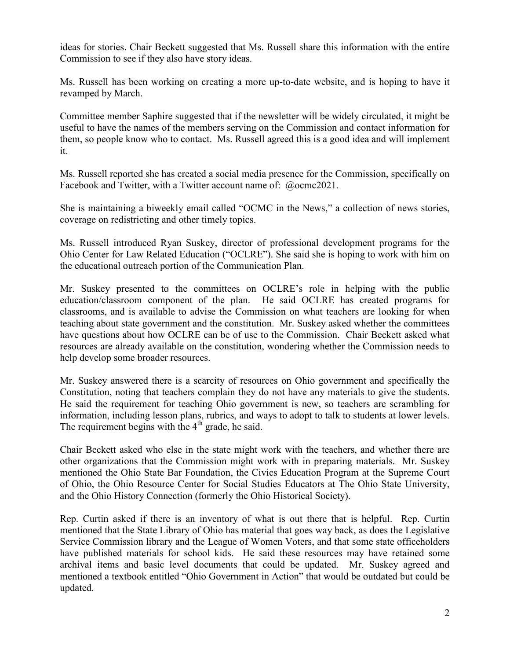ideas for stories. Chair Beckett suggested that Ms. Russell share this information with the entire Commission to see if they also have story ideas.

Ms. Russell has been working on creating a more up-to-date website, and is hoping to have it revamped by March.

Committee member Saphire suggested that if the newsletter will be widely circulated, it might be useful to have the names of the members serving on the Commission and contact information for them, so people know who to contact. Ms. Russell agreed this is a good idea and will implement it.

Ms. Russell reported she has created a social media presence for the Commission, specifically on Facebook and Twitter, with a Twitter account name of: @ocmc2021.

She is maintaining a biweekly email called "OCMC in the News," a collection of news stories, coverage on redistricting and other timely topics.

Ms. Russell introduced Ryan Suskey, director of professional development programs for the Ohio Center for Law Related Education ("OCLRE"). She said she is hoping to work with him on the educational outreach portion of the Communication Plan.

Mr. Suskey presented to the committees on OCLRE's role in helping with the public education/classroom component of the plan. He said OCLRE has created programs for classrooms, and is available to advise the Commission on what teachers are looking for when teaching about state government and the constitution. Mr. Suskey asked whether the committees have questions about how OCLRE can be of use to the Commission. Chair Beckett asked what resources are already available on the constitution, wondering whether the Commission needs to help develop some broader resources.

Mr. Suskey answered there is a scarcity of resources on Ohio government and specifically the Constitution, noting that teachers complain they do not have any materials to give the students. He said the requirement for teaching Ohio government is new, so teachers are scrambling for information, including lesson plans, rubrics, and ways to adopt to talk to students at lower levels. The requirement begins with the  $4<sup>th</sup>$  grade, he said.

Chair Beckett asked who else in the state might work with the teachers, and whether there are other organizations that the Commission might work with in preparing materials. Mr. Suskey mentioned the Ohio State Bar Foundation, the Civics Education Program at the Supreme Court of Ohio, the Ohio Resource Center for Social Studies Educators at The Ohio State University, and the Ohio History Connection (formerly the Ohio Historical Society).

Rep. Curtin asked if there is an inventory of what is out there that is helpful. Rep. Curtin mentioned that the State Library of Ohio has material that goes way back, as does the Legislative Service Commission library and the League of Women Voters, and that some state officeholders have published materials for school kids. He said these resources may have retained some archival items and basic level documents that could be updated. Mr. Suskey agreed and mentioned a textbook entitled "Ohio Government in Action" that would be outdated but could be updated.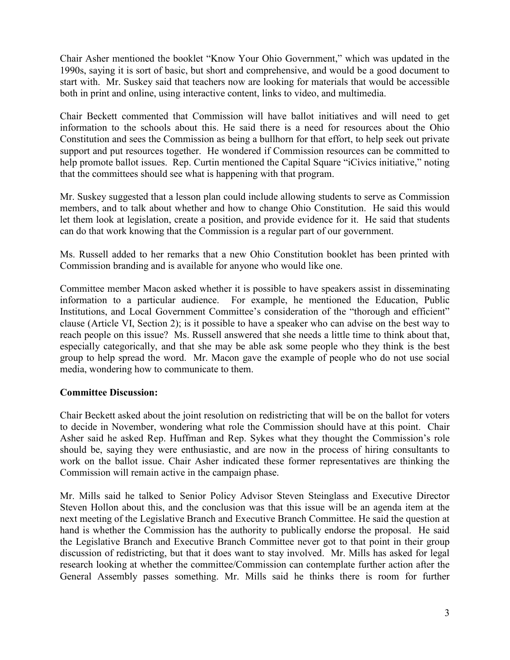Chair Asher mentioned the booklet "Know Your Ohio Government," which was updated in the 1990s, saying it is sort of basic, but short and comprehensive, and would be a good document to start with. Mr. Suskey said that teachers now are looking for materials that would be accessible both in print and online, using interactive content, links to video, and multimedia.

Chair Beckett commented that Commission will have ballot initiatives and will need to get information to the schools about this. He said there is a need for resources about the Ohio Constitution and sees the Commission as being a bullhorn for that effort, to help seek out private support and put resources together. He wondered if Commission resources can be committed to help promote ballot issues. Rep. Curtin mentioned the Capital Square "iCivics initiative," noting that the committees should see what is happening with that program.

Mr. Suskey suggested that a lesson plan could include allowing students to serve as Commission members, and to talk about whether and how to change Ohio Constitution. He said this would let them look at legislation, create a position, and provide evidence for it. He said that students can do that work knowing that the Commission is a regular part of our government.

Ms. Russell added to her remarks that a new Ohio Constitution booklet has been printed with Commission branding and is available for anyone who would like one.

Committee member Macon asked whether it is possible to have speakers assist in disseminating information to a particular audience. For example, he mentioned the Education, Public Institutions, and Local Government Committee's consideration of the "thorough and efficient" clause (Article VI, Section 2); is it possible to have a speaker who can advise on the best way to reach people on this issue? Ms. Russell answered that she needs a little time to think about that, especially categorically, and that she may be able ask some people who they think is the best group to help spread the word. Mr. Macon gave the example of people who do not use social media, wondering how to communicate to them.

## **Committee Discussion:**

Chair Beckett asked about the joint resolution on redistricting that will be on the ballot for voters to decide in November, wondering what role the Commission should have at this point. Chair Asher said he asked Rep. Huffman and Rep. Sykes what they thought the Commission's role should be, saying they were enthusiastic, and are now in the process of hiring consultants to work on the ballot issue. Chair Asher indicated these former representatives are thinking the Commission will remain active in the campaign phase.

Mr. Mills said he talked to Senior Policy Advisor Steven Steinglass and Executive Director Steven Hollon about this, and the conclusion was that this issue will be an agenda item at the next meeting of the Legislative Branch and Executive Branch Committee. He said the question at hand is whether the Commission has the authority to publically endorse the proposal. He said the Legislative Branch and Executive Branch Committee never got to that point in their group discussion of redistricting, but that it does want to stay involved. Mr. Mills has asked for legal research looking at whether the committee/Commission can contemplate further action after the General Assembly passes something. Mr. Mills said he thinks there is room for further